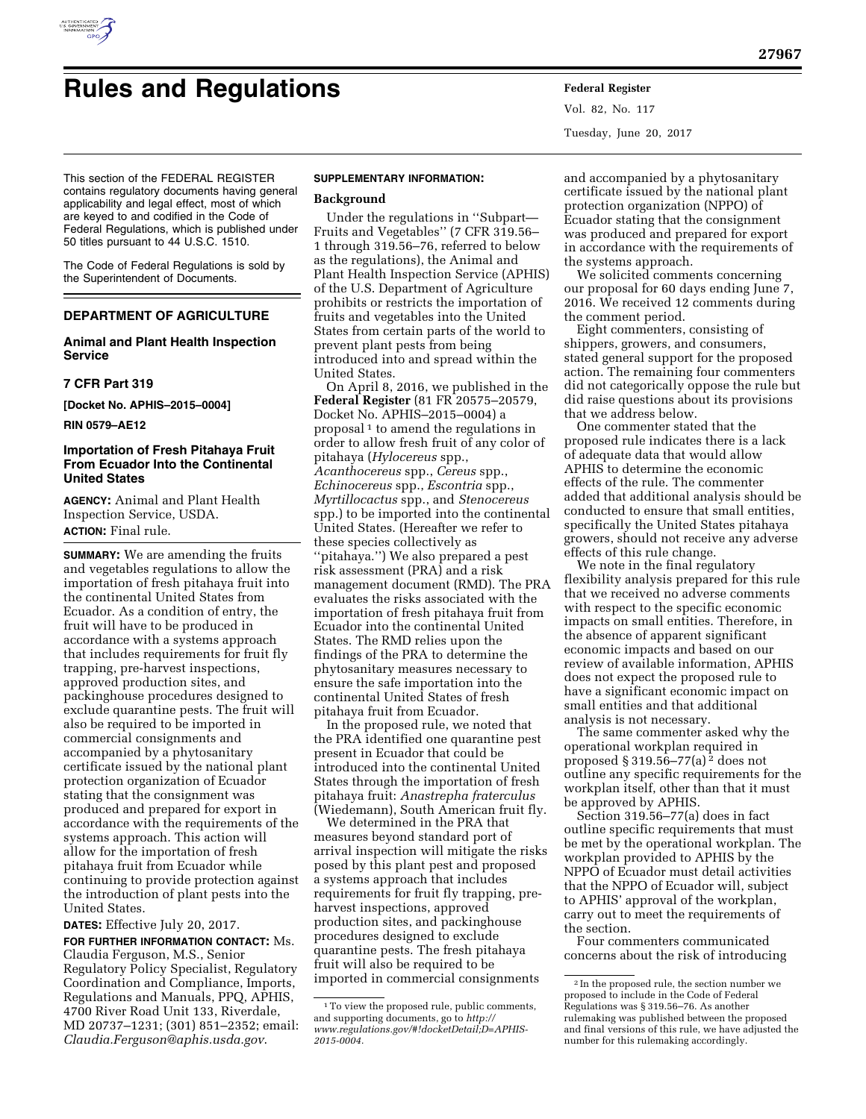

# **Rules and Regulations Federal Register**

Vol. 82, No. 117 Tuesday, June 20, 2017

This section of the FEDERAL REGISTER contains regulatory documents having general applicability and legal effect, most of which are keyed to and codified in the Code of Federal Regulations, which is published under 50 titles pursuant to 44 U.S.C. 1510.

The Code of Federal Regulations is sold by the Superintendent of Documents.

## **DEPARTMENT OF AGRICULTURE**

#### **Animal and Plant Health Inspection Service**

### **7 CFR Part 319**

**[Docket No. APHIS–2015–0004]** 

**RIN 0579–AE12** 

#### **Importation of Fresh Pitahaya Fruit From Ecuador Into the Continental United States**

**AGENCY:** Animal and Plant Health Inspection Service, USDA. **ACTION:** Final rule.

**SUMMARY:** We are amending the fruits and vegetables regulations to allow the importation of fresh pitahaya fruit into the continental United States from Ecuador. As a condition of entry, the fruit will have to be produced in accordance with a systems approach that includes requirements for fruit fly trapping, pre-harvest inspections, approved production sites, and packinghouse procedures designed to exclude quarantine pests. The fruit will also be required to be imported in commercial consignments and accompanied by a phytosanitary certificate issued by the national plant protection organization of Ecuador stating that the consignment was produced and prepared for export in accordance with the requirements of the systems approach. This action will allow for the importation of fresh pitahaya fruit from Ecuador while continuing to provide protection against the introduction of plant pests into the United States.

**DATES:** Effective July 20, 2017.

**FOR FURTHER INFORMATION CONTACT:** Ms. Claudia Ferguson, M.S., Senior Regulatory Policy Specialist, Regulatory Coordination and Compliance, Imports, Regulations and Manuals, PPQ, APHIS, 4700 River Road Unit 133, Riverdale, MD 20737–1231; (301) 851–2352; email: *[Claudia.Ferguson@aphis.usda.gov](mailto:Claudia.Ferguson@aphis.usda.gov)*.

#### **SUPPLEMENTARY INFORMATION:**

#### **Background**

Under the regulations in ''Subpart— Fruits and Vegetables'' (7 CFR 319.56– 1 through 319.56–76, referred to below as the regulations), the Animal and Plant Health Inspection Service (APHIS) of the U.S. Department of Agriculture prohibits or restricts the importation of fruits and vegetables into the United States from certain parts of the world to prevent plant pests from being introduced into and spread within the United States.

On April 8, 2016, we published in the **Federal Register** (81 FR 20575–20579, Docket No. APHIS–2015–0004) a proposal 1 to amend the regulations in order to allow fresh fruit of any color of pitahaya (*Hylocereus* spp., *Acanthocereus* spp., *Cereus* spp., *Echinocereus* spp., *Escontria* spp., *Myrtillocactus* spp., and *Stenocereus*  spp.) to be imported into the continental United States. (Hereafter we refer to these species collectively as ''pitahaya.'') We also prepared a pest risk assessment (PRA) and a risk management document (RMD). The PRA evaluates the risks associated with the importation of fresh pitahaya fruit from Ecuador into the continental United States. The RMD relies upon the findings of the PRA to determine the phytosanitary measures necessary to ensure the safe importation into the continental United States of fresh pitahaya fruit from Ecuador.

In the proposed rule, we noted that the PRA identified one quarantine pest present in Ecuador that could be introduced into the continental United States through the importation of fresh pitahaya fruit: *Anastrepha fraterculus*  (Wiedemann), South American fruit fly.

We determined in the PRA that measures beyond standard port of arrival inspection will mitigate the risks posed by this plant pest and proposed a systems approach that includes requirements for fruit fly trapping, preharvest inspections, approved production sites, and packinghouse procedures designed to exclude quarantine pests. The fresh pitahaya fruit will also be required to be imported in commercial consignments

and accompanied by a phytosanitary certificate issued by the national plant protection organization (NPPO) of Ecuador stating that the consignment was produced and prepared for export in accordance with the requirements of the systems approach.

We solicited comments concerning our proposal for 60 days ending June 7, 2016. We received 12 comments during the comment period.

Eight commenters, consisting of shippers, growers, and consumers, stated general support for the proposed action. The remaining four commenters did not categorically oppose the rule but did raise questions about its provisions that we address below.

One commenter stated that the proposed rule indicates there is a lack of adequate data that would allow APHIS to determine the economic effects of the rule. The commenter added that additional analysis should be conducted to ensure that small entities, specifically the United States pitahaya growers, should not receive any adverse effects of this rule change.

We note in the final regulatory flexibility analysis prepared for this rule that we received no adverse comments with respect to the specific economic impacts on small entities. Therefore, in the absence of apparent significant economic impacts and based on our review of available information, APHIS does not expect the proposed rule to have a significant economic impact on small entities and that additional analysis is not necessary.

The same commenter asked why the operational workplan required in proposed  $\S 319.56 - 77$ (a)<sup>2</sup> does not outline any specific requirements for the workplan itself, other than that it must be approved by APHIS.

Section 319.56–77(a) does in fact outline specific requirements that must be met by the operational workplan. The workplan provided to APHIS by the NPPO of Ecuador must detail activities that the NPPO of Ecuador will, subject to APHIS' approval of the workplan, carry out to meet the requirements of the section.

Four commenters communicated concerns about the risk of introducing

<sup>1</sup>To view the proposed rule, public comments, and supporting documents, go to *[http://](http://www.regulations.gov/#!docketDetail;D=APHIS-2015-0004) [www.regulations.gov/#!docketDetail;D=APHIS-](http://www.regulations.gov/#!docketDetail;D=APHIS-2015-0004)[2015-0004.](http://www.regulations.gov/#!docketDetail;D=APHIS-2015-0004)* 

<sup>2</sup> In the proposed rule, the section number we proposed to include in the Code of Federal Regulations was § 319.56–76. As another rulemaking was published between the proposed and final versions of this rule, we have adjusted the number for this rulemaking accordingly.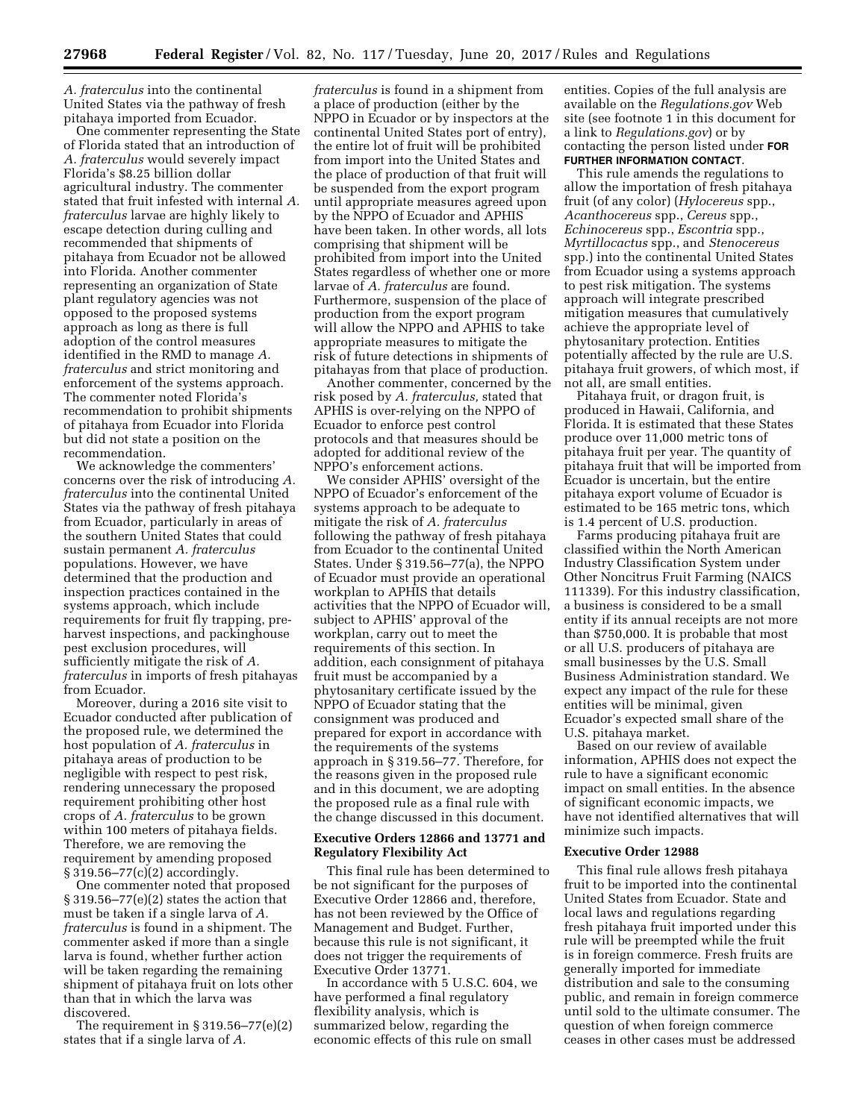*A. fraterculus* into the continental United States via the pathway of fresh pitahaya imported from Ecuador.

One commenter representing the State of Florida stated that an introduction of *A. fraterculus* would severely impact Florida's \$8.25 billion dollar agricultural industry. The commenter stated that fruit infested with internal *A. fraterculus* larvae are highly likely to escape detection during culling and recommended that shipments of pitahaya from Ecuador not be allowed into Florida. Another commenter representing an organization of State plant regulatory agencies was not opposed to the proposed systems approach as long as there is full adoption of the control measures identified in the RMD to manage *A. fraterculus* and strict monitoring and enforcement of the systems approach. The commenter noted Florida's recommendation to prohibit shipments of pitahaya from Ecuador into Florida but did not state a position on the recommendation.

We acknowledge the commenters' concerns over the risk of introducing *A. fraterculus* into the continental United States via the pathway of fresh pitahaya from Ecuador, particularly in areas of the southern United States that could sustain permanent *A. fraterculus*  populations. However, we have determined that the production and inspection practices contained in the systems approach, which include requirements for fruit fly trapping, preharvest inspections, and packinghouse pest exclusion procedures, will sufficiently mitigate the risk of *A. fraterculus* in imports of fresh pitahayas from Ecuador.

Moreover, during a 2016 site visit to Ecuador conducted after publication of the proposed rule, we determined the host population of *A. fraterculus* in pitahaya areas of production to be negligible with respect to pest risk, rendering unnecessary the proposed requirement prohibiting other host crops of *A. fraterculus* to be grown within 100 meters of pitahaya fields. Therefore, we are removing the requirement by amending proposed § 319.56–77(c)(2) accordingly.

One commenter noted that proposed  $§ 319.56 - 77(e)(2)$  states the action that must be taken if a single larva of *A. fraterculus* is found in a shipment. The commenter asked if more than a single larva is found, whether further action will be taken regarding the remaining shipment of pitahaya fruit on lots other than that in which the larva was discovered.

The requirement in  $\S 319.56 - 77(e)(2)$ states that if a single larva of *A.* 

*fraterculus* is found in a shipment from a place of production (either by the NPPO in Ecuador or by inspectors at the continental United States port of entry), the entire lot of fruit will be prohibited from import into the United States and the place of production of that fruit will be suspended from the export program until appropriate measures agreed upon by the NPPO of Ecuador and APHIS have been taken. In other words, all lots comprising that shipment will be prohibited from import into the United States regardless of whether one or more larvae of *A. fraterculus* are found. Furthermore, suspension of the place of production from the export program will allow the NPPO and APHIS to take appropriate measures to mitigate the risk of future detections in shipments of pitahayas from that place of production.

Another commenter, concerned by the risk posed by *A. fraterculus,* stated that APHIS is over-relying on the NPPO of Ecuador to enforce pest control protocols and that measures should be adopted for additional review of the NPPO's enforcement actions.

We consider APHIS' oversight of the NPPO of Ecuador's enforcement of the systems approach to be adequate to mitigate the risk of *A. fraterculus*  following the pathway of fresh pitahaya from Ecuador to the continental United States. Under § 319.56–77(a), the NPPO of Ecuador must provide an operational workplan to APHIS that details activities that the NPPO of Ecuador will, subject to APHIS' approval of the workplan, carry out to meet the requirements of this section. In addition, each consignment of pitahaya fruit must be accompanied by a phytosanitary certificate issued by the NPPO of Ecuador stating that the consignment was produced and prepared for export in accordance with the requirements of the systems approach in § 319.56–77. Therefore, for the reasons given in the proposed rule and in this document, we are adopting the proposed rule as a final rule with the change discussed in this document.

#### **Executive Orders 12866 and 13771 and Regulatory Flexibility Act**

This final rule has been determined to be not significant for the purposes of Executive Order 12866 and, therefore, has not been reviewed by the Office of Management and Budget. Further, because this rule is not significant, it does not trigger the requirements of Executive Order 13771.

In accordance with 5 U.S.C. 604, we have performed a final regulatory flexibility analysis, which is summarized below, regarding the economic effects of this rule on small

entities. Copies of the full analysis are available on the *Regulations.gov* Web site (see footnote 1 in this document for a link to *Regulations.gov*) or by contacting the person listed under **FOR FURTHER INFORMATION CONTACT**.

This rule amends the regulations to allow the importation of fresh pitahaya fruit (of any color) (*Hylocereus* spp., *Acanthocereus* spp., *Cereus* spp., *Echinocereus* spp., *Escontria* spp., *Myrtillocactus* spp., and *Stenocereus*  spp.) into the continental United States from Ecuador using a systems approach to pest risk mitigation. The systems approach will integrate prescribed mitigation measures that cumulatively achieve the appropriate level of phytosanitary protection. Entities potentially affected by the rule are U.S. pitahaya fruit growers, of which most, if not all, are small entities.

Pitahaya fruit, or dragon fruit, is produced in Hawaii, California, and Florida. It is estimated that these States produce over 11,000 metric tons of pitahaya fruit per year. The quantity of pitahaya fruit that will be imported from Ecuador is uncertain, but the entire pitahaya export volume of Ecuador is estimated to be 165 metric tons, which is 1.4 percent of U.S. production.

Farms producing pitahaya fruit are classified within the North American Industry Classification System under Other Noncitrus Fruit Farming (NAICS 111339). For this industry classification, a business is considered to be a small entity if its annual receipts are not more than \$750,000. It is probable that most or all U.S. producers of pitahaya are small businesses by the U.S. Small Business Administration standard. We expect any impact of the rule for these entities will be minimal, given Ecuador's expected small share of the U.S. pitahaya market.

Based on our review of available information, APHIS does not expect the rule to have a significant economic impact on small entities. In the absence of significant economic impacts, we have not identified alternatives that will minimize such impacts.

#### **Executive Order 12988**

This final rule allows fresh pitahaya fruit to be imported into the continental United States from Ecuador. State and local laws and regulations regarding fresh pitahaya fruit imported under this rule will be preempted while the fruit is in foreign commerce. Fresh fruits are generally imported for immediate distribution and sale to the consuming public, and remain in foreign commerce until sold to the ultimate consumer. The question of when foreign commerce ceases in other cases must be addressed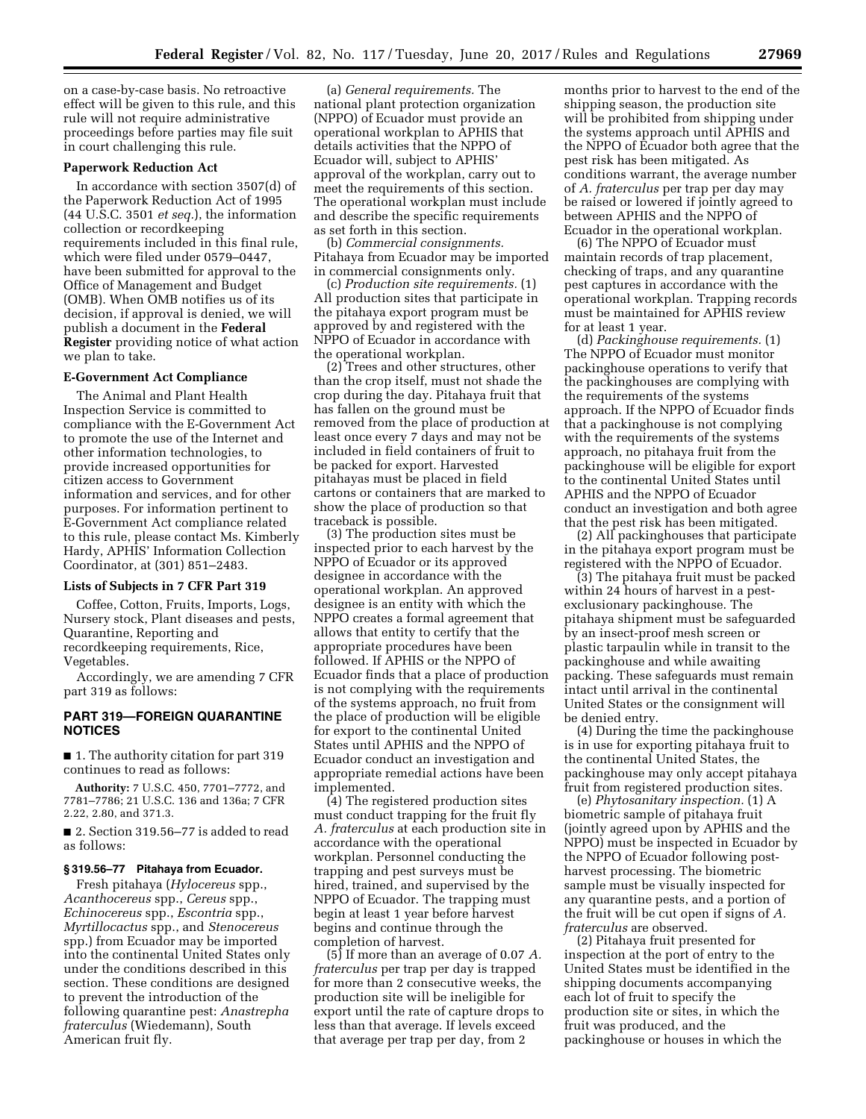on a case-by-case basis. No retroactive effect will be given to this rule, and this rule will not require administrative proceedings before parties may file suit in court challenging this rule.

#### **Paperwork Reduction Act**

In accordance with section 3507(d) of the Paperwork Reduction Act of 1995 (44 U.S.C. 3501 *et seq.*), the information collection or recordkeeping requirements included in this final rule, which were filed under 0579–0447, have been submitted for approval to the Office of Management and Budget (OMB). When OMB notifies us of its decision, if approval is denied, we will publish a document in the **Federal Register** providing notice of what action we plan to take.

#### **E-Government Act Compliance**

The Animal and Plant Health Inspection Service is committed to compliance with the E-Government Act to promote the use of the Internet and other information technologies, to provide increased opportunities for citizen access to Government information and services, and for other purposes. For information pertinent to E-Government Act compliance related to this rule, please contact Ms. Kimberly Hardy, APHIS' Information Collection Coordinator, at (301) 851–2483.

#### **Lists of Subjects in 7 CFR Part 319**

Coffee, Cotton, Fruits, Imports, Logs, Nursery stock, Plant diseases and pests, Quarantine, Reporting and recordkeeping requirements, Rice, Vegetables.

Accordingly, we are amending 7 CFR part 319 as follows:

#### **PART 319—FOREIGN QUARANTINE NOTICES**

■ 1. The authority citation for part 319 continues to read as follows:

**Authority:** 7 U.S.C. 450, 7701–7772, and 7781–7786; 21 U.S.C. 136 and 136a; 7 CFR 2.22, 2.80, and 371.3.

■ 2. Section 319.56–77 is added to read as follows:

#### **§ 319.56–77 Pitahaya from Ecuador.**

Fresh pitahaya (*Hylocereus* spp., *Acanthocereus* spp., *Cereus* spp., *Echinocereus* spp., *Escontria* spp., *Myrtillocactus* spp., and *Stenocereus*  spp.) from Ecuador may be imported into the continental United States only under the conditions described in this section. These conditions are designed to prevent the introduction of the following quarantine pest: *Anastrepha fraterculus* (Wiedemann), South American fruit fly.

(a) *General requirements.* The national plant protection organization (NPPO) of Ecuador must provide an operational workplan to APHIS that details activities that the NPPO of Ecuador will, subject to APHIS' approval of the workplan, carry out to meet the requirements of this section. The operational workplan must include and describe the specific requirements as set forth in this section.

(b) *Commercial consignments.*  Pitahaya from Ecuador may be imported in commercial consignments only.

(c) *Production site requirements.* (1) All production sites that participate in the pitahaya export program must be approved by and registered with the NPPO of Ecuador in accordance with the operational workplan.

(2) Trees and other structures, other than the crop itself, must not shade the crop during the day. Pitahaya fruit that has fallen on the ground must be removed from the place of production at least once every 7 days and may not be included in field containers of fruit to be packed for export. Harvested pitahayas must be placed in field cartons or containers that are marked to show the place of production so that traceback is possible.

(3) The production sites must be inspected prior to each harvest by the NPPO of Ecuador or its approved designee in accordance with the operational workplan. An approved designee is an entity with which the NPPO creates a formal agreement that allows that entity to certify that the appropriate procedures have been followed. If APHIS or the NPPO of Ecuador finds that a place of production is not complying with the requirements of the systems approach, no fruit from the place of production will be eligible for export to the continental United States until APHIS and the NPPO of Ecuador conduct an investigation and appropriate remedial actions have been implemented.

(4) The registered production sites must conduct trapping for the fruit fly *A. fraterculus* at each production site in accordance with the operational workplan. Personnel conducting the trapping and pest surveys must be hired, trained, and supervised by the NPPO of Ecuador. The trapping must begin at least 1 year before harvest begins and continue through the completion of harvest.

(5) If more than an average of 0.07 *A. fraterculus* per trap per day is trapped for more than 2 consecutive weeks, the production site will be ineligible for export until the rate of capture drops to less than that average. If levels exceed that average per trap per day, from 2

months prior to harvest to the end of the shipping season, the production site will be prohibited from shipping under the systems approach until APHIS and the NPPO of Ecuador both agree that the pest risk has been mitigated. As conditions warrant, the average number of *A. fraterculus* per trap per day may be raised or lowered if jointly agreed to between APHIS and the NPPO of Ecuador in the operational workplan.

(6) The NPPO of Ecuador must maintain records of trap placement, checking of traps, and any quarantine pest captures in accordance with the operational workplan. Trapping records must be maintained for APHIS review for at least 1 year.

(d) *Packinghouse requirements.* (1) The NPPO of Ecuador must monitor packinghouse operations to verify that the packinghouses are complying with the requirements of the systems approach. If the NPPO of Ecuador finds that a packinghouse is not complying with the requirements of the systems approach, no pitahaya fruit from the packinghouse will be eligible for export to the continental United States until APHIS and the NPPO of Ecuador conduct an investigation and both agree that the pest risk has been mitigated.

(2) All packinghouses that participate in the pitahaya export program must be registered with the NPPO of Ecuador.

(3) The pitahaya fruit must be packed within 24 hours of harvest in a pestexclusionary packinghouse. The pitahaya shipment must be safeguarded by an insect-proof mesh screen or plastic tarpaulin while in transit to the packinghouse and while awaiting packing. These safeguards must remain intact until arrival in the continental United States or the consignment will be denied entry.

(4) During the time the packinghouse is in use for exporting pitahaya fruit to the continental United States, the packinghouse may only accept pitahaya fruit from registered production sites.

(e) *Phytosanitary inspection.* (1) A biometric sample of pitahaya fruit (jointly agreed upon by APHIS and the NPPO) must be inspected in Ecuador by the NPPO of Ecuador following postharvest processing. The biometric sample must be visually inspected for any quarantine pests, and a portion of the fruit will be cut open if signs of *A. fraterculus* are observed.

(2) Pitahaya fruit presented for inspection at the port of entry to the United States must be identified in the shipping documents accompanying each lot of fruit to specify the production site or sites, in which the fruit was produced, and the packinghouse or houses in which the